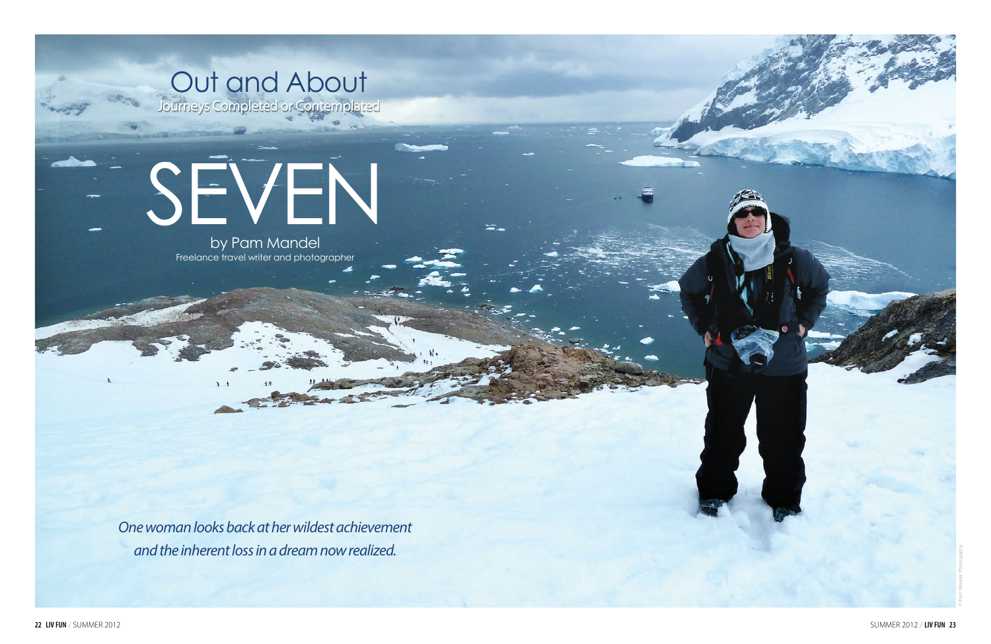

# Out and About

Journeys Completed or Contemplated

by Pam Mandel Freelance travel writer and photographer

*One woman looks back at her wildest achievement and the inherent loss in a dream now realized.*

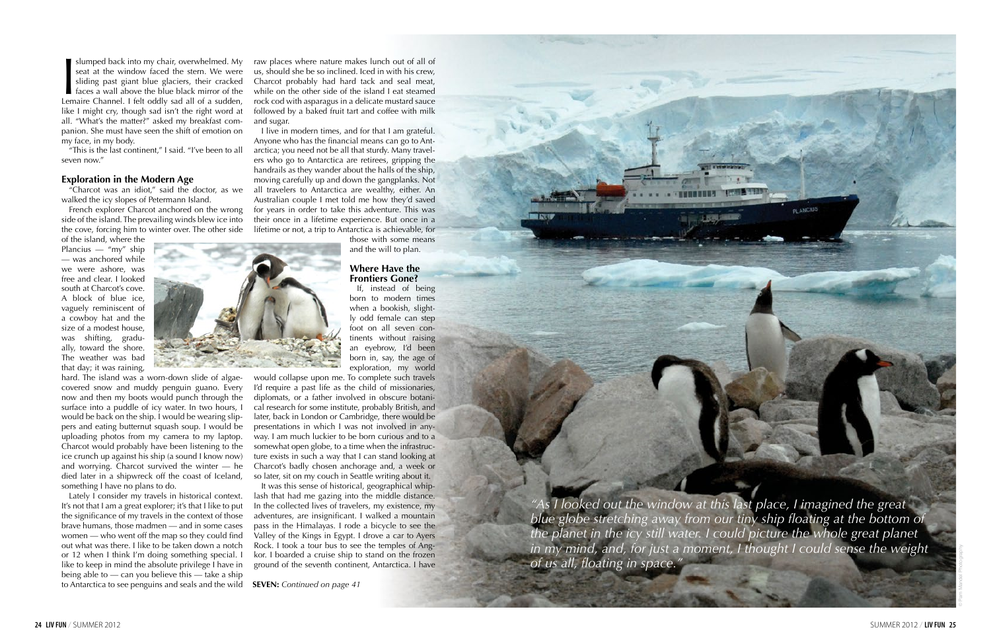**Slumped back into my chair, overwhelmed. My seat at the window faced the stern. We were sliding past giant blue glaciers, their cracked faces a wall above the blue black mirror of the Lemaire Channel. I felt oddly sad all** seat at the window faced the stern. We were sliding past giant blue glaciers, their cracked faces a wall above the blue black mirror of the like I might cry, though sad isn't the right word at all. "What's the matter?" asked my breakfast companion. She must have seen the shift of emotion on my face, in my body.

"This is the last continent," I said. "I've been to all seven now."

#### **Exploration in the Modern Age**

"Charcot was an idiot," said the doctor, as we walked the icy slopes of Petermann Island.

French explorer Charcot anchored on the wrong side of the island. The prevailing winds blew ice into the cove, forcing him to winter over. The other side

of the island, where the Plancius — "my" ship — was anchored while we were ashore, was free and clear. I looked south at Charcot's cove. A block of blue ice, vaguely reminiscent of a cowboy hat and the size of a modest house, was shifting, gradually, toward the shore. The weather was bad that day; it was raining,

hard. The island was a worn-down slide of algaecovered snow and muddy penguin guano. Every now and then my boots would punch through the surface into a puddle of icy water. In two hours, I would be back on the ship. I would be wearing slippers and eating butternut squash soup. I would be uploading photos from my camera to my laptop. Charcot would probably have been listening to the ice crunch up against his ship (a sound I know now) and worrying. Charcot survived the winter — he died later in a shipwreck off the coast of Iceland, something I have no plans to do.

Lately I consider my travels in historical context. It's not that I am a great explorer; it's that I like to put the significance of my travels in the context of those brave humans, those madmen — and in some cases women — who went off the map so they could find out what was there. I like to be taken down a notch or 12 when I think I'm doing something special. I like to keep in mind the absolute privilege I have in being able to — can you believe this — take a ship to Antarctica to see penguins and seals and the wild raw places where nature makes lunch out of all of us, should she be so inclined. Iced in with his crew, Charcot probably had hard tack and seal meat, while on the other side of the island I eat steamed rock cod with asparagus in a delicate mustard sauce followed by a baked fruit tart and coffee with milk and sugar.

I live in modern times, and for that I am grateful. Anyone who has the financial means can go to Antarctica; you need not be all that sturdy. Many travelers who go to Antarctica are retirees, gripping the handrails as they wander about the halls of the ship, moving carefully up and down the gangplanks. Not all travelers to Antarctica are wealthy, either. An Australian couple I met told me how they'd saved for years in order to take this adventure. This was their once in a lifetime experience. But once in a lifetime or not, a trip to Antarctica is achievable, for

those with some means and the will to plan.

#### **Where Have the Frontiers Gone?**

If, instead of being born to modern times when a bookish, slightly odd female can step foot on all seven continents without raising an eyebrow, I'd been born in, say, the age of exploration, my world

would collapse upon me. To complete such travels I'd require a past life as the child of missionaries, diplomats, or a father involved in obscure botanical research for some institute, probably British, and later, back in London or Cambridge, there would be presentations in which I was not involved in anyway. I am much luckier to be born curious and to a somewhat open globe, to a time when the infrastructure exists in such a way that I can stand looking at Charcot's badly chosen anchorage and, a week or so later, sit on my couch in Seattle writing about it.

It was this sense of historical, geographical whiplash that had me gazing into the middle distance. In the collected lives of travelers, my existence, my adventures, are insignificant. I walked a mountain pass in the Himalayas. I rode a bicycle to see the Valley of the Kings in Egypt. I drove a car to Ayers Rock. I took a tour bus to see the temples of Angkor. I boarded a cruise ship to stand on the frozen ground of the seventh continent, Antarctica. I have

*"As I looked out the window at this last place, I imagined the great blue globe stretching away from our tiny ship floating at the bottom of the planet in the icy still water. I could picture the whole great planet in my mind, and, for just a moment, I thought I could sense the weight of us all, floating in space."*

**PLANCIUS** 



**SEVEN:** *Continued on page 41*